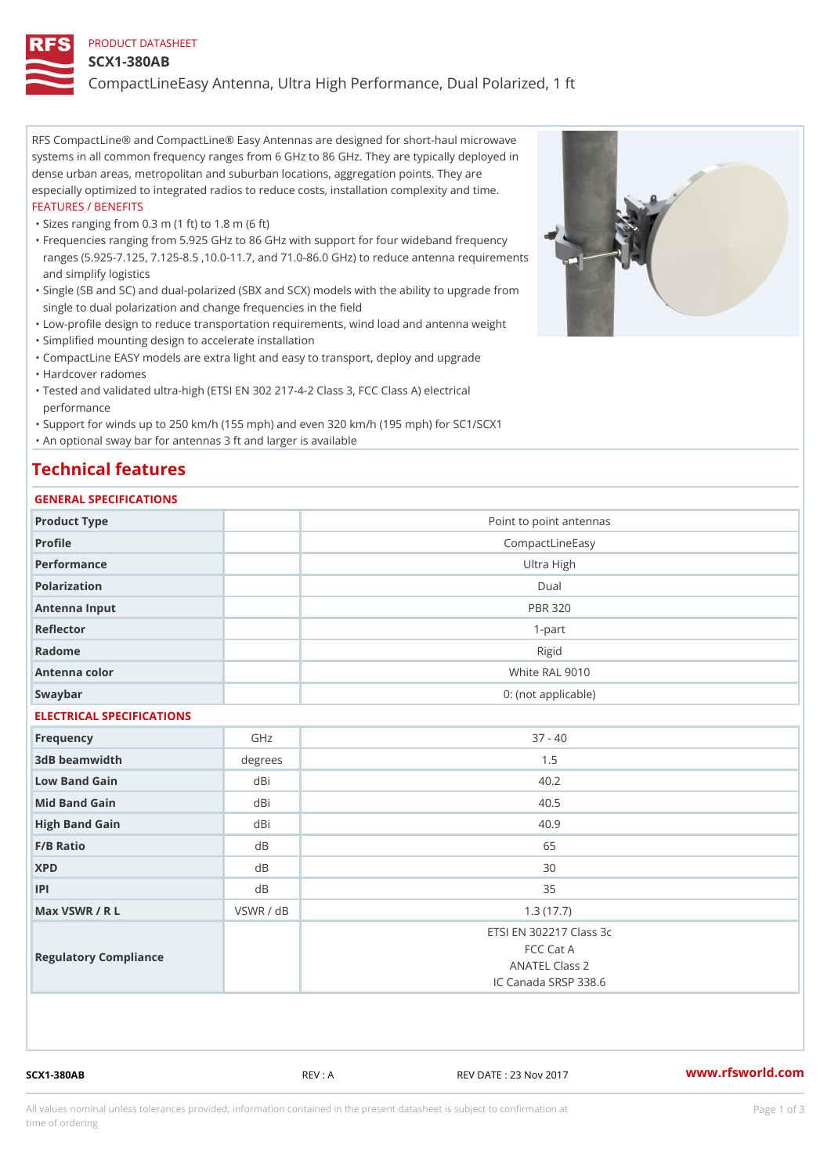### PRODUCT DATASHEET

#### SCX1-380AB

CompactLineEasy Antenna, Ultra High Performance, Dual Polarized, 1 ft

RFS CompactLine® and CompactLine® Easy Antennas are designed for short-haul microwave systems in all common frequency ranges from 6 GHz to 86 GHz. They are typically deployed in dense urban areas, metropolitan and suburban locations, aggregation points. They are especially optimized to integrated radios to reduce costs, installation complexity and time. FEATURES / BENEFITS

"Sizes ranging from 0.3 m (1 ft) to 1.8 m (6 ft)

Frequencies ranging from 5.925 GHz to 86 GHz with support for four wideband frequency " ranges (5.925-7.125, 7.125-8.5 ,10.0-11.7, and 71.0-86.0 GHz) to reduce antenna requirements and simplify logistics

Single (SB and SC) and dual-polarized (SBX and SCX) models with the ability to upgrade from " single to dual polarization and change frequencies in the field

"Low-profile design to reduce transportation requirements, wind load and antenna weight

"Simplified mounting design to accelerate installation

 "CompactLine EASY models are extra light and easy to transport, deploy and upgrade "Hardcover radomes

Tested and validated ultra-high (ETSI EN 302 217-4-2 Class 3, FCC Class A) electrical " performance

 "Support for winds up to 250 km/h (155 mph) and even 320 km/h (195 mph) for SC1/SCX1 "An optional sway bar for antennas 3 ft and larger is available

## Technical features

## GENERAL SPECIFICATIONS

| OLIVLINAL OI LOII IOA I IONO |           |                         |  |  |
|------------------------------|-----------|-------------------------|--|--|
| Product Type                 |           | Point to point antennas |  |  |
| Profile                      |           | CompactLineEasy         |  |  |
| Performance                  |           | Ultra High              |  |  |
| Polarization                 |           | $D$ ual                 |  |  |
| Antenna Input                |           | <b>PBR 320</b>          |  |  |
| Reflector                    |           | $1 - p$ art             |  |  |
| Radome                       |           | Rigid                   |  |  |
| Antenna color                |           | White RAL 9010          |  |  |
| Swaybar                      |           | 0: (not applicable)     |  |  |
| ELECTRICAL SPECIFICATIONS    |           |                         |  |  |
| Frequency                    | GHz       | $37 - 40$               |  |  |
| 3dB beamwidth                | degrees   | 1.5                     |  |  |
| Low Band Gain                | dBi       | 40.2                    |  |  |
| Mid Band Gain                | dBi       | 40.5                    |  |  |
| High Band Gain               | dBi       | 40.9                    |  |  |
| F/B Ratio                    | $d$ B     | 65                      |  |  |
| <b>XPD</b>                   | d B       | 30                      |  |  |
| P                            | d B       | 35                      |  |  |
| Max VSWR / R L               | VSWR / dB | 1.3(17.7)               |  |  |
| Regulatory Compliance        |           | ETSI EN 302217 Class 3c |  |  |
|                              |           | FCC Cat A               |  |  |
|                              |           | <b>ANATEL Class 2</b>   |  |  |
|                              |           | IC Canada SRSP 338.6    |  |  |
|                              |           |                         |  |  |

SCX1-380AB REV : A REV DATE : 23 Nov 2017 [www.](https://www.rfsworld.com)rfsworld.com

All values nominal unless tolerances provided; information contained in the present datasheet is subject to Pcapgeign mation time of ordering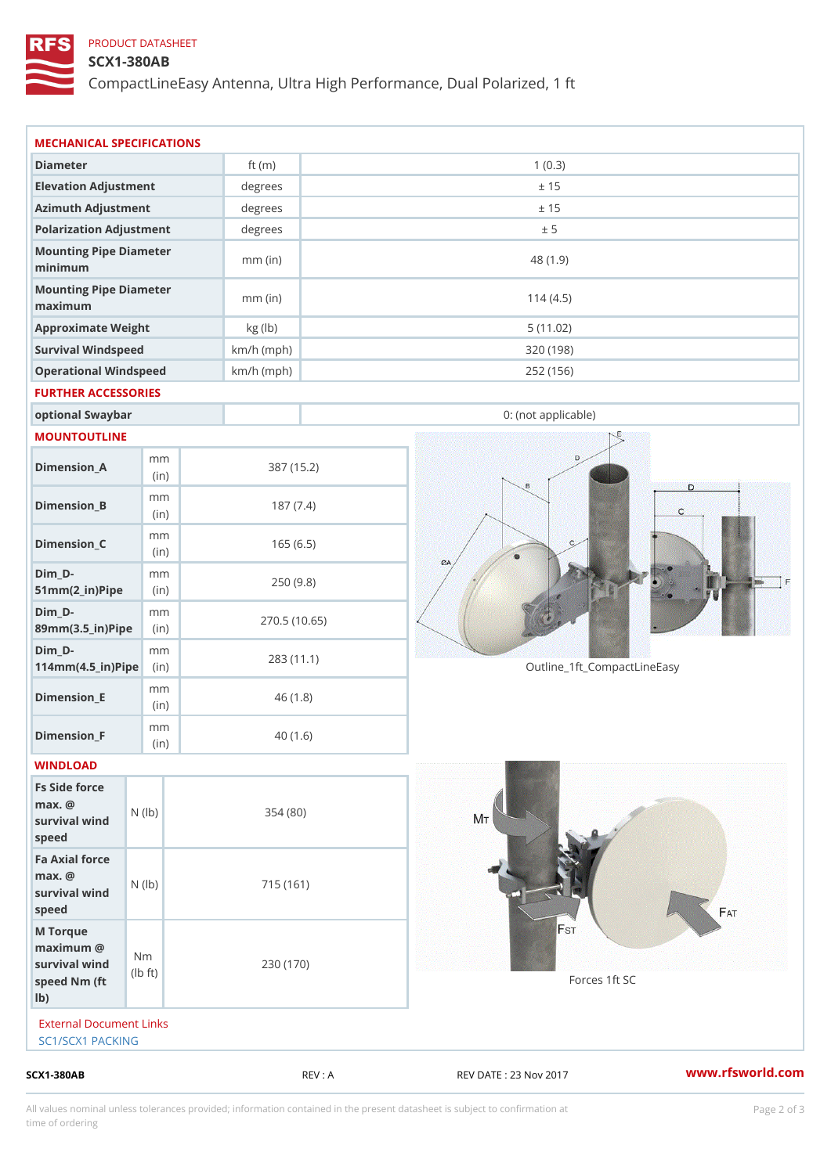## PRODUCT DATASHEET

## SCX1-380AB

CompactLineEasy Antenna, Ultra High Performance, Dual Polarized, 1 ft

| Diameter                                                                                                    | ft $(m)$     | 1(0.3)                                               |
|-------------------------------------------------------------------------------------------------------------|--------------|------------------------------------------------------|
| Elevation Adjustment                                                                                        | degrees      | ± 15                                                 |
| Azimuth Adjustment                                                                                          | degrees      | ± 15                                                 |
| Polarization Adjustment                                                                                     | degrees      | ± 5                                                  |
| Mounting Pipe Diameter<br>minimum                                                                           | $mm$ (in)    | 48 (1.9)                                             |
| Mounting Pipe Diameter<br>maximum                                                                           | $mm$ (in)    | 114(4.5)                                             |
| Approximate Weight                                                                                          | kg (lb)      | 5(11.02)                                             |
| Survival Windspeed                                                                                          | $km/h$ (mph) | 320 (198)                                            |
| Operational Windspeed                                                                                       | $km/h$ (mph) | 252 (156)                                            |
| FURTHER ACCESSORIES                                                                                         |              |                                                      |
| optional Swaybar                                                                                            |              | 0: (not applicable)                                  |
| MOUNTOUTLINE                                                                                                |              |                                                      |
| m m<br>$Dimension_A$<br>(in)                                                                                | 387 (15.2)   |                                                      |
| m m<br>$Dimension_B$<br>(in)                                                                                | 187(7.4)     |                                                      |
| m m<br>$Dimension_C$<br>(in)                                                                                | 165(6.5)     |                                                      |
| $Dim_D - D -$<br>m m<br>$51mm(2_in)Pip@in$                                                                  | 250(9.8)     |                                                      |
| $Dim_D - D -$<br>m m<br>89mm (3.5_in) Pi(pine)                                                              |              | 270.5(10.65)                                         |
| $Dim_D - D -$<br>m m<br>$114$ m m (4.5_ir) $\sqrt{$ imp $\approx$                                           | 283 (11.1)   | Outline_1ft_CompactLineEasy                          |
| m m<br>$Dimension$ = E<br>(in)                                                                              | 46(1.8)      |                                                      |
| m m<br>$Dimension_F$<br>(i n)                                                                               | 40(1.6)      |                                                      |
| WINDLOAD                                                                                                    |              |                                                      |
| Fs Side force<br>$max.$ @<br>survival $w \nmid N$ ( $ b$ )<br>speed                                         | 354(80)      |                                                      |
| Fa Axial force<br>$max.$ @<br>survival wind (1b)<br>speed                                                   | 715 (161)    |                                                      |
| M Torque<br>$maximum$ @<br>N <sub>m</sub><br>survival wind<br>$\dagger$ t)<br>I b<br>speed Nm (ft<br>$1b$ ) | 230 (170)    | Forces 1ft SC                                        |
| External Document Links<br>SC1/SCX1 PACKING                                                                 |              |                                                      |
| $SCX1 - 380AB$                                                                                              |              | www.rfsworld.co<br>REV : A<br>REV DATE : 23 Nov 2017 |

All values nominal unless tolerances provided; information contained in the present datasheet is subject to Pcapgelio an atio time of ordering